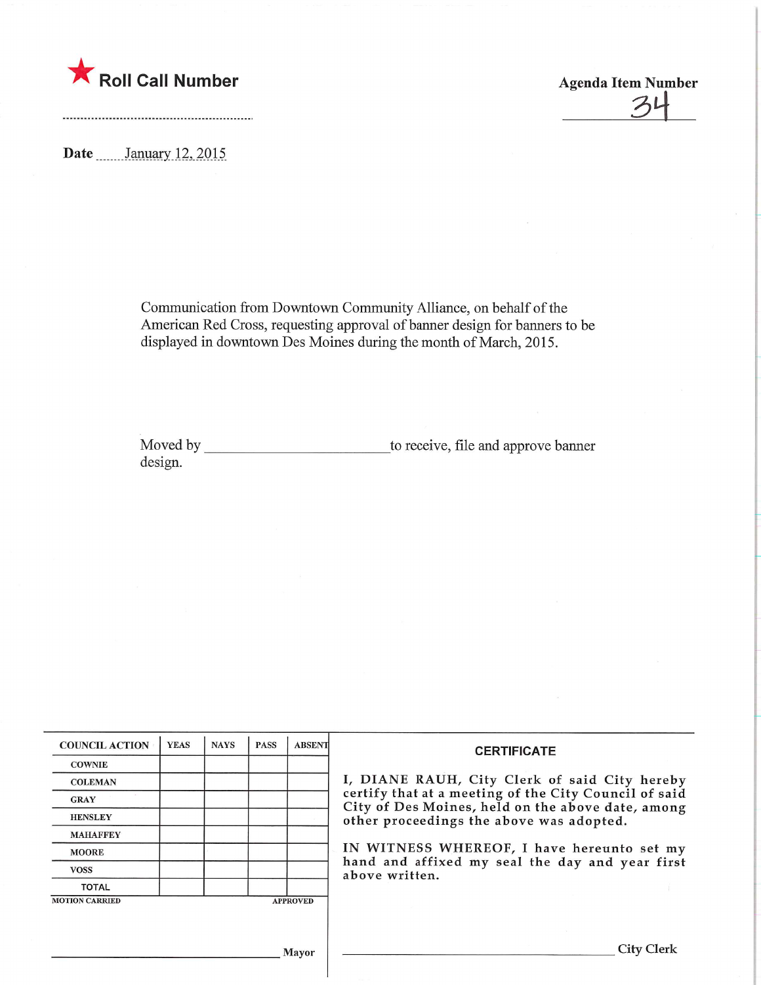

 $27$ 

Date **January** 12, 2015

Communication from Downtown Community Alliance, on behalf of the American Red Cross, requesting approval of banner design for banners to be displayed in downtown Des Moines during the month of March, 2015.

Moved by to receive, file and approve banner design.

| <b>COUNCIL ACTION</b> | <b>YEAS</b> | <b>NAYS</b> | <b>PASS</b> | <b>ABSENT</b>   | <b>CERTIFICATE</b><br>I, DIANE RAUH, City Clerk of said City hereby<br>certify that at a meeting of the City Council of said<br>City of Des Moines, held on the above date, among<br>other proceedings the above was adopted.<br>IN WITNESS WHEREOF, I have hereunto set my<br>hand and affixed my seal the day and year first<br>above written. |
|-----------------------|-------------|-------------|-------------|-----------------|--------------------------------------------------------------------------------------------------------------------------------------------------------------------------------------------------------------------------------------------------------------------------------------------------------------------------------------------------|
| <b>COWNIE</b>         |             |             |             |                 |                                                                                                                                                                                                                                                                                                                                                  |
| <b>COLEMAN</b>        |             |             |             |                 |                                                                                                                                                                                                                                                                                                                                                  |
| <b>GRAY</b>           |             |             |             |                 |                                                                                                                                                                                                                                                                                                                                                  |
| <b>HENSLEY</b>        |             |             |             |                 |                                                                                                                                                                                                                                                                                                                                                  |
| <b>MAHAFFEY</b>       |             |             |             |                 |                                                                                                                                                                                                                                                                                                                                                  |
| <b>MOORE</b>          |             |             |             |                 |                                                                                                                                                                                                                                                                                                                                                  |
| <b>VOSS</b>           |             |             |             |                 |                                                                                                                                                                                                                                                                                                                                                  |
| <b>TOTAL</b>          |             |             |             |                 |                                                                                                                                                                                                                                                                                                                                                  |
| <b>MOTION CARRIED</b> |             |             |             | <b>APPROVED</b> |                                                                                                                                                                                                                                                                                                                                                  |
|                       |             |             |             |                 |                                                                                                                                                                                                                                                                                                                                                  |
|                       |             |             |             |                 |                                                                                                                                                                                                                                                                                                                                                  |
|                       |             |             |             | <b>Mayor</b>    | City                                                                                                                                                                                                                                                                                                                                             |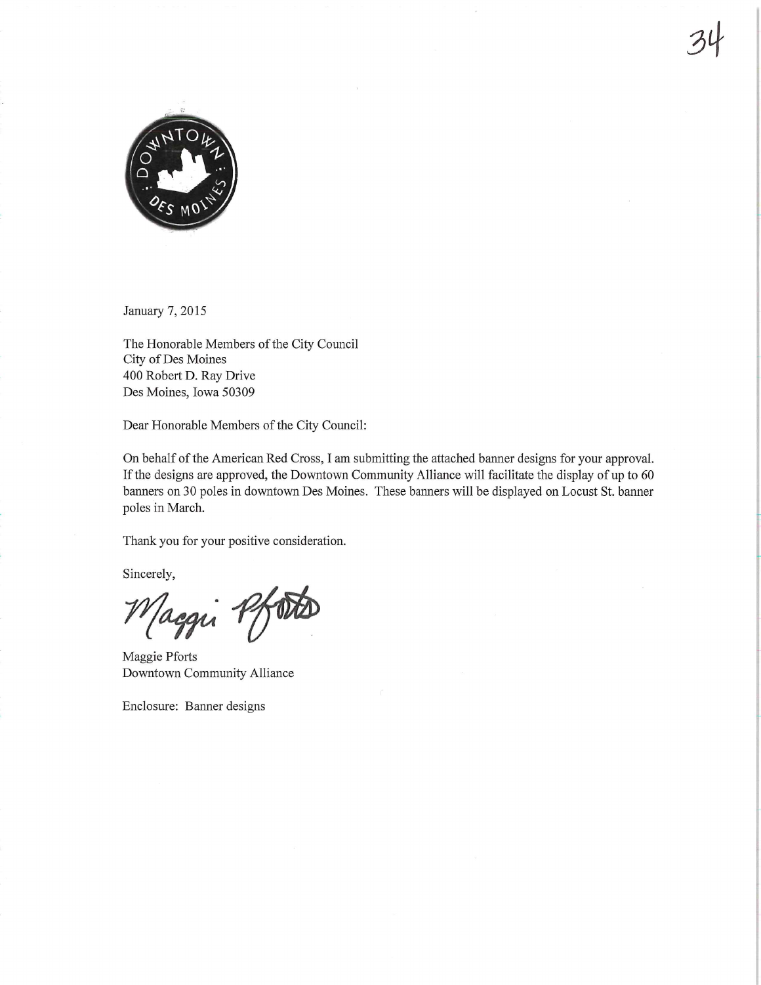

January 7, 2015

The Honorable Members of the City Council City of Des Moines 400 Robert D. Ray Drive Des Moines, Iowa 50309

Dear Honorable Members of the City Council:

On behalf of the American Red Cross, I am submitting the attached banner designs for your approval. If the designs are approved, the Downtown Community Alliance will facilitate the display of up to 60 banners on 30 poles in downtown Des Moines. These banners will be displayed on Locust St.banner poles in March.

34

Thank you for your positive consideration.

Sincerely,

aggu 1

Maggie Pforts Downtown Community Alliance

Enclosure: Banner designs